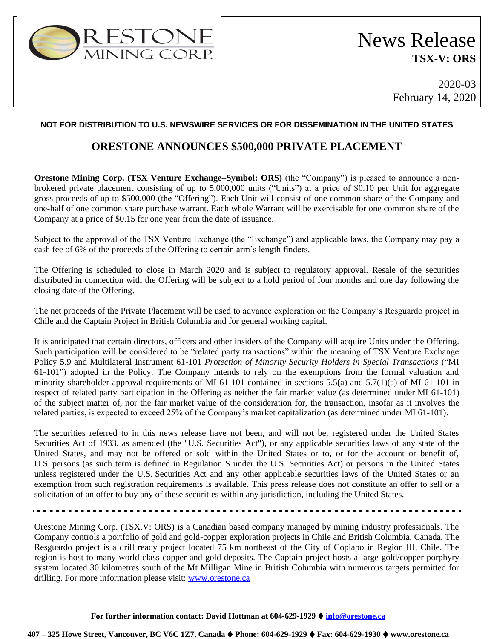

2020-03 February 14, 2020

## **NOT FOR DISTRIBUTION TO U.S. NEWSWIRE SERVICES OR FOR DISSEMINATION IN THE UNITED STATES**

## **ORESTONE ANNOUNCES \$500,000 PRIVATE PLACEMENT**

**Orestone Mining Corp. (TSX Venture Exchange–Symbol: ORS)** (the "Company") is pleased to announce a nonbrokered private placement consisting of up to 5,000,000 units ("Units") at a price of \$0.10 per Unit for aggregate gross proceeds of up to \$500,000 (the "Offering"). Each Unit will consist of one common share of the Company and one-half of one common share purchase warrant. Each whole Warrant will be exercisable for one common share of the Company at a price of \$0.15 for one year from the date of issuance.

Subject to the approval of the TSX Venture Exchange (the "Exchange") and applicable laws, the Company may pay a cash fee of 6% of the proceeds of the Offering to certain arm's length finders.

The Offering is scheduled to close in March 2020 and is subject to regulatory approval. Resale of the securities distributed in connection with the Offering will be subject to a hold period of four months and one day following the closing date of the Offering.

The net proceeds of the Private Placement will be used to advance exploration on the Company's Resguardo project in Chile and the Captain Project in British Columbia and for general working capital.

It is anticipated that certain directors, officers and other insiders of the Company will acquire Units under the Offering. Such participation will be considered to be "related party transactions" within the meaning of TSX Venture Exchange Policy 5.9 and Multilateral Instrument 61-101 *Protection of Minority Security Holders in Special Transactions* ("MI 61-101") adopted in the Policy. The Company intends to rely on the exemptions from the formal valuation and minority shareholder approval requirements of MI 61-101 contained in sections 5.5(a) and 5.7(1)(a) of MI 61-101 in respect of related party participation in the Offering as neither the fair market value (as determined under MI 61-101) of the subject matter of, nor the fair market value of the consideration for, the transaction, insofar as it involves the related parties, is expected to exceed 25% of the Company's market capitalization (as determined under MI 61-101).

The securities referred to in this news release have not been, and will not be, registered under the United States Securities Act of 1933, as amended (the "U.S. Securities Act"), or any applicable securities laws of any state of the United States, and may not be offered or sold within the United States or to, or for the account or benefit of, U.S. persons (as such term is defined in Regulation S under the U.S. Securities Act) or persons in the United States unless registered under the U.S. Securities Act and any other applicable securities laws of the United States or an exemption from such registration requirements is available. This press release does not constitute an offer to sell or a solicitation of an offer to buy any of these securities within any jurisdiction, including the United States.

Orestone Mining Corp. (TSX.V: ORS) is a Canadian based company managed by mining industry professionals. The Company controls a portfolio of gold and gold-copper exploration projects in Chile and British Columbia, Canada. The Resguardo project is a drill ready project located 75 km northeast of the City of Copiapo in Region III, Chile. The region is host to many world class copper and gold deposits. The Captain project hosts a large gold/copper porphyry system located 30 kilometres south of the Mt Milligan Mine in British Columbia with numerous targets permitted for drilling. For more information please visit: [www.orestone.ca](http://www.orestone.ca/)